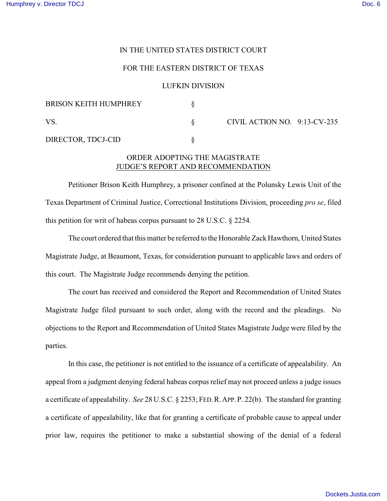## IN THE UNITED STATES DISTRICT COURT

## FOR THE EASTERN DISTRICT OF TEXAS

### LUFKIN DIVISION

| <b>BRISON KEITH HUMPHREY</b> |                              |  |
|------------------------------|------------------------------|--|
| VS                           | CIVIL ACTION NO. 9:13-CV-235 |  |
| DIRECTOR, TDCJ-CID           |                              |  |

# ORDER ADOPTING THE MAGISTRATE JUDGE'S REPORT AND RECOMMENDATION

Petitioner Brison Keith Humphrey, a prisoner confined at the Polunsky Lewis Unit of the Texas Department of Criminal Justice, Correctional Institutions Division, proceeding *pro se*, filed this petition for writ of habeas corpus pursuant to 28 U.S.C. § 2254.

The court ordered that this matter be referred to the Honorable Zack Hawthorn, United States Magistrate Judge, at Beaumont, Texas, for consideration pursuant to applicable laws and orders of this court. The Magistrate Judge recommends denying the petition.

The court has received and considered the Report and Recommendation of United States Magistrate Judge filed pursuant to such order, along with the record and the pleadings. No objections to the Report and Recommendation of United States Magistrate Judge were filed by the parties.

In this case, the petitioner is not entitled to the issuance of a certificate of appealability. An appeal from a judgment denying federal habeas corpus relief may not proceed unless a judge issues a certificate of appealability. *See* 28 U.S.C. § 2253; FED.R.APP.P. 22(b). The standard for granting a certificate of appealability, like that for granting a certificate of probable cause to appeal under prior law, requires the petitioner to make a substantial showing of the denial of a federal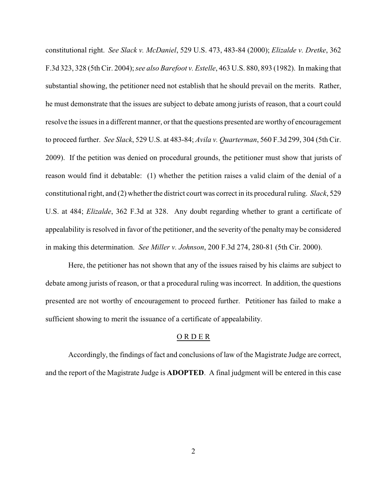constitutional right. *See Slack v. McDaniel*, 529 U.S. 473, 483-84 (2000); *Elizalde v. Dretke*, 362 F.3d 323, 328 (5th Cir. 2004); *see also Barefoot v. Estelle*, 463 U.S. 880, 893 (1982). In making that substantial showing, the petitioner need not establish that he should prevail on the merits. Rather, he must demonstrate that the issues are subject to debate among jurists of reason, that a court could resolve the issues in a different manner, or that the questions presented are worthy of encouragement to proceed further. *See Slack*, 529 U.S. at 483-84; *Avila v. Quarterman*, 560 F.3d 299, 304 (5th Cir. 2009). If the petition was denied on procedural grounds, the petitioner must show that jurists of reason would find it debatable: (1) whether the petition raises a valid claim of the denial of a constitutional right, and (2) whether the district court was correct in its procedural ruling. *Slack*, 529 U.S. at 484; *Elizalde*, 362 F.3d at 328. Any doubt regarding whether to grant a certificate of appealability is resolved in favor of the petitioner, and the severity of the penaltymay be considered in making this determination. *See Miller v. Johnson*, 200 F.3d 274, 280-81 (5th Cir. 2000).

Here, the petitioner has not shown that any of the issues raised by his claims are subject to debate among jurists of reason, or that a procedural ruling was incorrect. In addition, the questions presented are not worthy of encouragement to proceed further. Petitioner has failed to make a sufficient showing to merit the issuance of a certificate of appealability.

#### O R D E R

Accordingly, the findings of fact and conclusions of law of the Magistrate Judge are correct, and the report of the Magistrate Judge is **ADOPTED**. A final judgment will be entered in this case